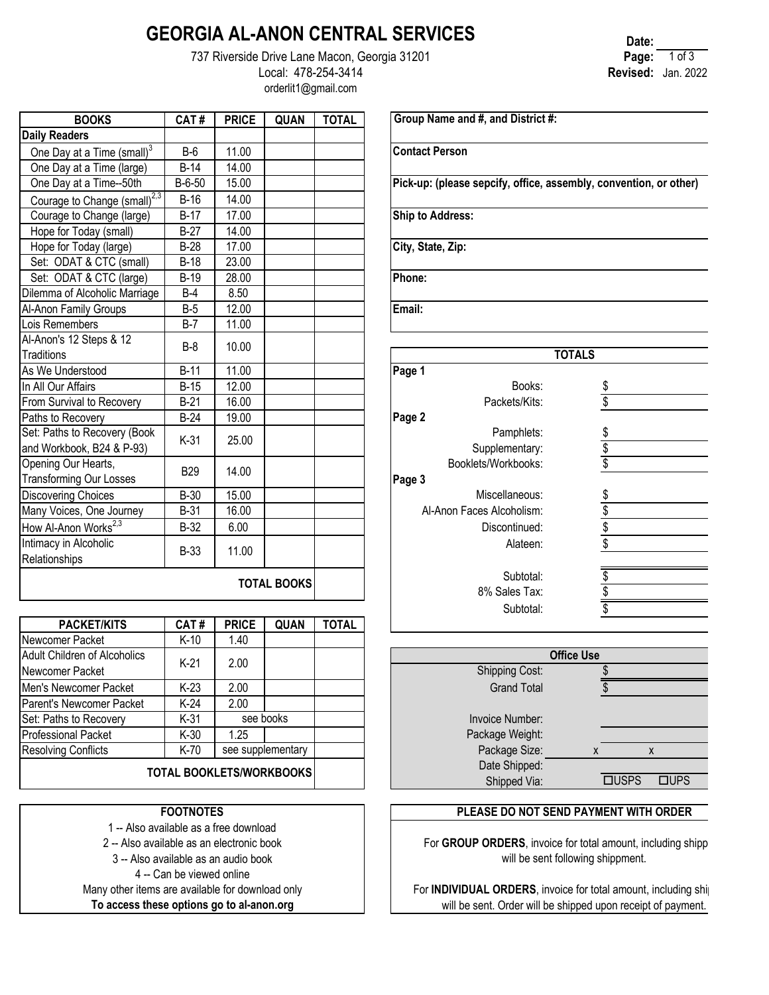## **GEORGIA AL-ANON CENTRAL SERVICES**

737 Riverside Drive Lane Macon, Georgia 31201 Local: 478-254-3414 orderlit1@gmail.com

| <b>BOOKS</b>                                              | CAT#        | <b>PRICE</b> | QUAN               | <b>TOTAL</b> | Group Name and #, and Distric     |
|-----------------------------------------------------------|-------------|--------------|--------------------|--------------|-----------------------------------|
| <b>Daily Readers</b>                                      |             |              |                    |              |                                   |
| One Day at a Time (small) <sup>3</sup>                    | $B-6$       | 11.00        |                    |              | <b>Contact Person</b>             |
| One Day at a Time (large)                                 | B-14        | 14.00        |                    |              |                                   |
| One Day at a Time--50th                                   | B-6-50      | 15.00        |                    |              | Pick-up: (please sepcify, office, |
| Courage to Change (small) <sup>2,3</sup>                  | $B-16$      | 14.00        |                    |              |                                   |
| Courage to Change (large)                                 | $B-17$      | 17.00        |                    |              | <b>Ship to Address:</b>           |
| Hope for Today (small)                                    | $B-27$      | 14.00        |                    |              |                                   |
| Hope for Today (large)                                    | $B-28$      | 17.00        |                    |              | City, State, Zip:                 |
| Set: ODAT & CTC (small)                                   | $B-18$      | 23.00        |                    |              |                                   |
| Set: ODAT & CTC (large)                                   | $B-19$      | 28.00        |                    |              | Phone:                            |
| Dilemma of Alcoholic Marriage                             | $B-4$       | 8.50         |                    |              |                                   |
| Al-Anon Family Groups                                     | $B-5$       | 12.00        |                    |              | Email:                            |
| Lois Remembers                                            | $B-7$       | 11.00        |                    |              |                                   |
| Al-Anon's 12 Steps & 12<br>Traditions                     | $B-8$       | 10.00        |                    |              |                                   |
| As We Understood                                          | $B-11$      | 11.00        |                    |              | Page 1                            |
| In All Our Affairs                                        | <b>B-15</b> | 12.00        |                    |              | Books:                            |
| From Survival to Recovery                                 | $B-21$      | 16.00        |                    |              | Packets/Kits:                     |
| Paths to Recovery                                         | $B-24$      | 19.00        |                    |              | Page 2                            |
| Set: Paths to Recovery (Book<br>and Workbook, B24 & P-93) | $K-31$      | 25.00        |                    |              | Pamphlets:<br>Supplementary:      |
| Opening Our Hearts,<br>Transforming Our Losses            | <b>B29</b>  | 14.00        |                    |              | Booklets/Workbooks:<br>Page 3     |
| <b>Discovering Choices</b>                                | $B-30$      | 15.00        |                    |              | Miscellaneous:                    |
| Many Voices, One Journey                                  | $B-31$      | 16.00        |                    |              | Al-Anon Faces Alcoholism:         |
| How Al-Anon Works <sup>2,3</sup>                          | <b>B-32</b> | 6.00         |                    |              | Discontinued:                     |
| Intimacy in Alcoholic<br>Relationships                    | $B-33$      | 11.00        |                    |              | Alateen:                          |
|                                                           |             |              | <b>TOTAL BOOKS</b> |              | Subtotal:<br>$00/$ Colog Tow      |

| <b>PACKET/KITS</b>           | CAT#                            | <b>PRICE</b> | <b>QUAN</b>       | <b>TOTAL</b> |                             |                   |                |
|------------------------------|---------------------------------|--------------|-------------------|--------------|-----------------------------|-------------------|----------------|
| Newcomer Packet              | $K-10$                          | 1.40         |                   |              |                             |                   |                |
| Adult Children of Alcoholics | $K-21$                          | 2.00         |                   |              |                             | <b>Office Use</b> |                |
| Newcomer Packet              |                                 |              |                   |              | <b>Shipping Cost:</b>       |                   |                |
| Men's Newcomer Packet        | $K-23$                          | 2.00         |                   |              | <b>Grand Total</b>          |                   |                |
| Parent's Newcomer Packet     | $K-24$                          | 2.00         |                   |              |                             |                   |                |
| Set: Paths to Recovery       | $K-31$                          |              | see books         |              | Invoice Number:             |                   |                |
| <b>Professional Packet</b>   | $K-30$                          | 1.25         |                   |              | Package Weight:             |                   |                |
| <b>Resolving Conflicts</b>   | K-70                            |              | see supplementary |              | Package Size:               |                   |                |
|                              | <b>TOTAL BOOKLETS/WORKBOOKS</b> |              |                   |              | Date Shipped:               |                   |                |
|                              |                                 |              |                   |              | $Q$ laimnead $\overline{Q}$ |                   | <b>CULLODO</b> |

#### **FOOTNOTES**

1 -- Also available as a free download

2 -- Also available as an electronic book

3 -- Also available as an audio book

4 -- Can be viewed online

Many other items are available for download only

**To access these options go to al-anon.org**

**Date: Page:** 1 of 3 **Revised:** Jan. 2022

**Group Name and #, and District #:**

**Pick-up: (please sepcify, office, assembly, convention, or other)**

|                           | <b>TOTALS</b> |                          |
|---------------------------|---------------|--------------------------|
| Page 1                    |               |                          |
| Books:                    |               | \$                       |
| Packets/Kits:             |               | \$                       |
| Page 2                    |               |                          |
| Pamphlets:                |               |                          |
| Supplementary:            |               | <u>နှစ်</u>              |
| Booklets/Workbooks:       |               |                          |
| Page 3                    |               |                          |
| Miscellaneous:            |               |                          |
| Al-Anon Faces Alcoholism: |               | $\frac{1}{3}$            |
| Discontinued:             |               |                          |
| Alateen:                  |               | $\overline{\mathcal{S}}$ |
|                           |               |                          |
| Subtotal:                 |               | \$                       |
| 8% Sales Tax:             |               | \$                       |
| Subtotal:                 |               |                          |
|                           |               |                          |

|                                    | <b>Office Use</b>    |
|------------------------------------|----------------------|
| <b>Shipping Cost:</b>              |                      |
| <b>Grand Total</b>                 |                      |
| Invoice Number:<br>Package Weight: |                      |
| Package Size:                      | X<br>X               |
| Date Shipped:                      |                      |
| Shipped Via:                       | <b>TUSPS</b><br>⊐UPS |
|                                    |                      |

### **PLEASE DO NOT SEND PAYMENT WITH ORDER**

For GROUP ORDERS, invoice for total amount, including shippi will be sent following shippment.

For **INDIVIDUAL ORDERS**, invoice for total amount, including ship will be sent. Order will be shipped upon receipt of payment.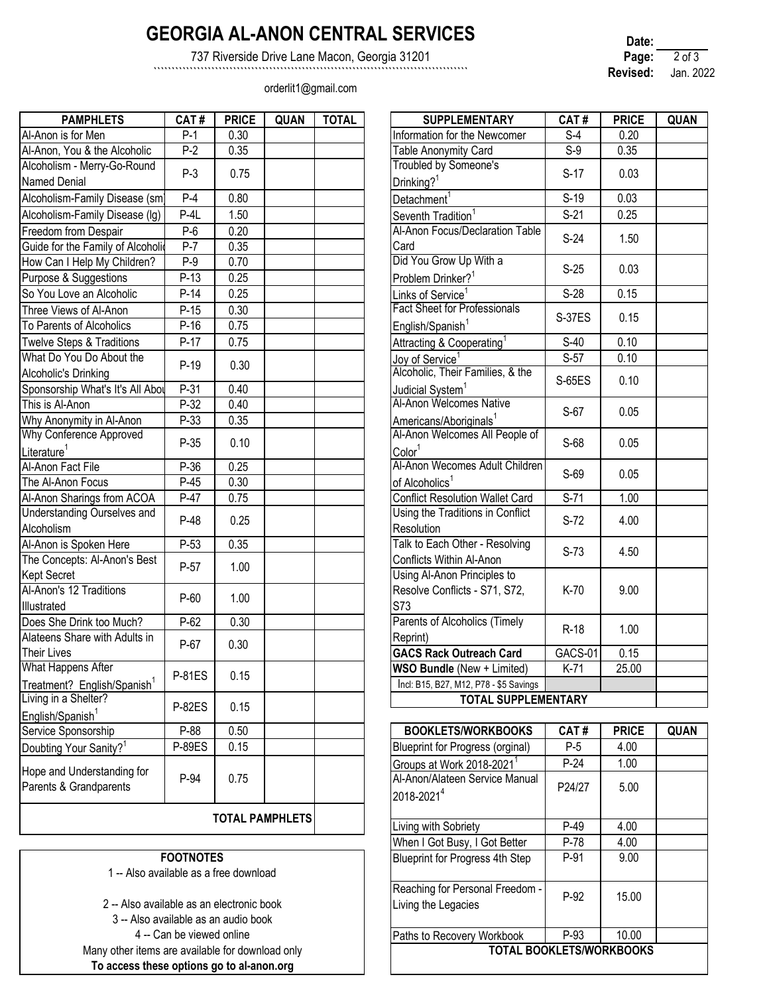# **GEORGIA AL-ANON CENTRAL SERVICES**

737 Riverside Drive Lane Macon, Georgia 31201

```````````````````````````````````````````````````````````````````````````````````````

orderlit1@gmail.com

| Date:    |            |  |
|----------|------------|--|
| Page:    | $2$ of $3$ |  |
| Revised: | Jan. 2022  |  |

| <b>PAMPHLETS</b>                        | CAT#          | <b>PRICE</b> | <b>QUAN</b>            | <b>TOTAL</b> | <b>SUPPLEMENTARY</b>                   | CAT#          | <b>PRICE</b> | <b>QUAN</b> |
|-----------------------------------------|---------------|--------------|------------------------|--------------|----------------------------------------|---------------|--------------|-------------|
| Al-Anon is for Men                      | $P-1$         | 0.30         |                        |              | Information for the Newcomer           | $S-4$         | 0.20         |             |
| Al-Anon, You & the Alcoholic            | $P-2$         | 0.35         |                        |              | Table Anonymity Card                   | $S-9$         | 0.35         |             |
| Alcoholism - Merry-Go-Round             | $P-3$         | 0.75         |                        |              | Troubled by Someone's                  | $S-17$        | 0.03         |             |
| <b>Named Denial</b>                     |               |              |                        |              | Drinking? <sup>1</sup>                 |               |              |             |
| Alcoholism-Family Disease (sm)          | $P-4$         | 0.80         |                        |              | Detachment <sup>1</sup>                | $S-19$        | 0.03         |             |
| Alcoholism-Family Disease (Ig)          | $P-4L$        | 1.50         |                        |              | Seventh Tradition                      | $S-21$        | 0.25         |             |
| Freedom from Despair                    | $P-6$         | 0.20         |                        |              | Al-Anon Focus/Declaration Table        | $S-24$        | 1.50         |             |
| Guide for the Family of Alcoholic       | $P-7$         | 0.35         |                        |              | Card                                   |               |              |             |
| How Can I Help My Children?             | $P-9$         | 0.70         |                        |              | Did You Grow Up With a                 | $S-25$        | 0.03         |             |
| Purpose & Suggestions                   | $P-13$        | 0.25         |                        |              | Problem Drinker? <sup>1</sup>          |               |              |             |
| So You Love an Alcoholic                | $P-14$        | 0.25         |                        |              | Links of Service <sup>1</sup>          | $S-28$        | 0.15         |             |
| Three Views of Al-Anon                  | $P-15$        | 0.30         |                        |              | <b>Fact Sheet for Professionals</b>    | <b>S-37ES</b> | 0.15         |             |
| To Parents of Alcoholics                | $P-16$        | 0.75         |                        |              | English/Spanish <sup>1</sup>           |               |              |             |
| <b>Twelve Steps &amp; Traditions</b>    | $P-17$        | 0.75         |                        |              | Attracting & Cooperating <sup>1</sup>  | S-40          | 0.10         |             |
| What Do You Do About the                | $P-19$        | 0.30         |                        |              | Joy of Service <sup>1</sup>            | $S-57$        | 0.10         |             |
| Alcoholic's Drinking                    |               |              |                        |              | Alcoholic, Their Families, & the       | S-65ES        | 0.10         |             |
| Sponsorship What's It's All Abou        | $P-31$        | 0.40         |                        |              | Judicial System <sup>1</sup>           |               |              |             |
| This is Al-Anon                         | P-32          | 0.40         |                        |              | Al-Anon Welcomes Native                | S-67          | 0.05         |             |
| Why Anonymity in Al-Anon                | P-33          | 0.35         |                        |              | Americans/Aboriginals <sup>1</sup>     |               |              |             |
| Why Conference Approved                 | P-35          | 0.10         |                        |              | Al-Anon Welcomes All People of         | S-68          | 0.05         |             |
| Literature <sup>1</sup>                 |               |              |                        |              | Color <sup>1</sup>                     |               |              |             |
| Al-Anon Fact File                       | P-36          | 0.25         |                        |              | Al-Anon Wecomes Adult Children         | S-69          | 0.05         |             |
| The Al-Anon Focus                       | $P-45$        | 0.30         |                        |              | of Alcoholics <sup>1</sup>             |               |              |             |
| Al-Anon Sharings from ACOA              | $P-47$        | 0.75         |                        |              | <b>Conflict Resolution Wallet Card</b> | $S-71$        | 1.00         |             |
| <b>Understanding Ourselves and</b>      | $P-48$        | 0.25         |                        |              | Using the Traditions in Conflict       | $S-72$        | 4.00         |             |
| Alcoholism                              |               |              |                        |              | Resolution                             |               |              |             |
| Al-Anon is Spoken Here                  | $P-53$        | 0.35         |                        |              | Talk to Each Other - Resolving         | $S-73$        | 4.50         |             |
| The Concepts: Al-Anon's Best            | P-57          | 1.00         |                        |              | Conflicts Within Al-Anon               |               |              |             |
| <b>Kept Secret</b>                      |               |              |                        |              | Using Al-Anon Principles to            |               |              |             |
| Al-Anon's 12 Traditions                 | P-60          | 1.00         |                        |              | Resolve Conflicts - S71, S72,          | K-70          | 9.00         |             |
| Illustrated                             |               |              |                        |              | <b>S73</b>                             |               |              |             |
| Does She Drink too Much?                | P-62          | 0.30         |                        |              | Parents of Alcoholics (Timely          | R-18          | 1.00         |             |
| Alateens Share with Adults in           | P-67          | 0.30         |                        |              | Reprint)                               |               |              |             |
| <b>Their Lives</b>                      |               |              |                        |              | <b>GACS Rack Outreach Card</b>         | GACS-01       | 0.15         |             |
| What Happens After                      | P-81ES        | 0.15         |                        |              | WSO Bundle (New + Limited)             | K-71          | 25.00        |             |
| Treatment? English/Spanish <sup>1</sup> |               |              |                        |              | Incl: B15, B27, M12, P78 - \$5 Savings |               |              |             |
| Living in a Shelter?                    | P-82ES        | 0.15         |                        |              | <b>TOTAL SUPPLEMENTARY</b>             |               |              |             |
| English/Spanish <sup>1</sup>            |               |              |                        |              |                                        |               |              |             |
| Service Sponsorship                     | P-88          | 0.50         |                        |              | <b>BOOKLETS/WORKBOOKS</b>              | CAT#          | <b>PRICE</b> | <b>QUAN</b> |
| Doubting Your Sanity? <sup>1</sup>      | <b>P-89ES</b> | 0.15         |                        |              | Blueprint for Progress (orginal)       | $P-5$         | 4.00         |             |
| Hope and Understanding for              |               |              |                        |              | Groups at Work 2018-2021 <sup>1</sup>  | $P-24$        | 1.00         |             |
| Parents & Grandparents                  | P-94          | 0.75         |                        |              | Al-Anon/Alateen Service Manual         | P24/27        | 5.00         |             |
|                                         |               |              |                        |              | 2018-20214                             |               |              |             |
|                                         |               |              | <b>TOTAL PAMPHLETS</b> |              |                                        |               |              |             |
|                                         |               |              |                        |              |                                        |               |              |             |

### **FOOTNOTES**

1 -- Also available as a free download

2 -- Also available as an electronic book 3 -- Also available as an audio book 4 -- Can be viewed online Many other items are available for download only **To access these options go to al-anon.org**

| <b>PAMPHLETS</b>                                      | CAT#          | <b>PRICE</b> | QUAN | <b>TOTAL</b> | <b>SUPPLEMENTARY</b>                                    | CAT#          | <b>PRICE</b> | <b>QUAN</b> |
|-------------------------------------------------------|---------------|--------------|------|--------------|---------------------------------------------------------|---------------|--------------|-------------|
| is for Men                                            | $P-1$         | 0.30         |      |              | Information for the Newcomer                            | $S-4$         | 0.20         |             |
| You & the Alcoholic                                   | $P-2$         | 0.35         |      |              | Table Anonymity Card                                    | $S-9$         | 0.35         |             |
| m - Merry-Go-Round<br>enial                           | $P-3$         | 0.75         |      |              | Troubled by Someone's<br>Drinking? <sup>1</sup>         | $S-17$        | 0.03         |             |
| m-Family Disease (sm)                                 | $P-4$         | 0.80         |      |              | Detachment <sup>1</sup>                                 | $S-19$        | 0.03         |             |
| m-Family Disease (Ig)                                 | $P-4L$        | 1.50         |      |              | Seventh Tradition <sup>1</sup>                          | $S-21$        | 0.25         |             |
| from Despair                                          | $P-6$         | 0.20         |      |              | Al-Anon Focus/Declaration Table                         |               |              |             |
| the Family of Alcoholic                               | $P-7$         | 0.35         |      |              | Card                                                    | $S-24$        | 1.50         |             |
| I Help My Children?                                   | $P-9$         | 0.70         |      |              | Did You Grow Up With a                                  |               |              |             |
| & Suggestions                                         | $P-13$        | 0.25         |      |              | Problem Drinker? <sup>1</sup>                           | $S-25$        | 0.03         |             |
| ove an Alcoholic                                      | $P-14$        | 0.25         |      |              | Links of Service <sup>1</sup>                           | S-28          | 0.15         |             |
| ews of Al-Anon                                        | $P-15$        | 0.30         |      |              | <b>Fact Sheet for Professionals</b>                     |               |              |             |
| ts of Alcoholics                                      | $P-16$        | 0.75         |      |              | English/Spanish <sup>1</sup>                            | <b>S-37ES</b> | 0.15         |             |
| teps & Traditions                                     | $P-17$        | 0.75         |      |              | Attracting & Cooperating <sup>1</sup>                   | S-40          | 0.10         |             |
| You Do About the                                      | $P-19$        | 0.30         |      |              | Joy of Service <sup>1</sup>                             | $S-57$        | 0.10         |             |
| 's Drinking                                           |               |              |      |              | Alcoholic, Their Families, & the                        | S-65ES        | 0.10         |             |
| ship What's It's All Abou                             | $P-31$        | 0.40         |      |              | Judicial System <sup>1</sup>                            |               |              |             |
| -Anon                                                 | $P-32$        | 0.40         |      |              | Al-Anon Welcomes Native                                 | S-67          | 0.05         |             |
| nymity in Al-Anon                                     | P-33          | 0.35         |      |              | Americans/Aboriginals <sup>1</sup>                      |               |              |             |
| ference Approved                                      | P-35          | 0.10         |      |              | Al-Anon Welcomes All People of<br>Color <sup>1</sup>    | S-68          | 0.05         |             |
| Fact File                                             | $P-36$        | 0.25         |      |              | Al-Anon Wecomes Adult Children                          |               |              |             |
| non Focus                                             | $P-45$        | 0.30         |      |              | of Alcoholics <sup>1</sup>                              | S-69          | 0.05         |             |
| Sharings from ACOA                                    | $P-47$        | 0.75         |      |              | <b>Conflict Resolution Wallet Card</b>                  | $S-71$        | 1.00         |             |
| <b>Inding Ourselves and</b><br>m                      | $P-48$        | 0.25         |      |              | Using the Traditions in Conflict<br>Resolution          | $S-72$        | 4.00         |             |
| is Spoken Here                                        | $P-53$        | 0.35         |      |              | Talk to Each Other - Resolving                          | $S-73$        | 4.50         |             |
| cepts: Al-Anon's Best<br>ret:                         | $P-57$        | 1.00         |      |              | Conflicts Within Al-Anon<br>Using Al-Anon Principles to |               |              |             |
| s 12 Traditions                                       | $P-60$        | 1.00         |      |              | Resolve Conflicts - S71, S72,<br>S73                    | K-70          | 9.00         |             |
| e Drink too Much?                                     | $P-62$        | 0.30         |      |              | Parents of Alcoholics (Timely                           | $R-18$        | 1.00         |             |
| Share with Adults in                                  | P-67          | 0.30         |      |              | Reprint)                                                |               |              |             |
| es                                                    |               |              |      |              | <b>GACS Rack Outreach Card</b>                          | GACS-01       | 0.15         |             |
| ppens After                                           | <b>P-81ES</b> | 0.15         |      |              | WSO Bundle (New + Limited)                              | $K-71$        | 25.00        |             |
| <u>nt?  English/Spanish<sup>1</sup></u><br>a Shelter? |               |              |      |              | Incl: B15, B27, M12, P78 - \$5 Savings                  |               |              |             |
|                                                       | D OODO        | 0.45         |      |              | <b>TOTAL SUPPLEMENTARY</b>                              |               |              |             |

| <b>BOOKLETS/WORKBOOKS</b>                                | CAT#   | <b>PRICE</b> | <b>QUAN</b> |
|----------------------------------------------------------|--------|--------------|-------------|
| Blueprint for Progress (orginal)                         | P-5    | 4.00         |             |
| Groups at Work 2018-2021 <sup>1</sup>                    | $P-24$ | 1.00         |             |
| Al-Anon/Alateen Service Manual<br>2018-2021 <sup>4</sup> | P24/27 | 5.00         |             |
| Living with Sobriety                                     | P-49   | 4.00         |             |
| When I Got Busy, I Got Better                            | P-78   | 4.00         |             |
| <b>Blueprint for Progress 4th Step</b>                   | P-91   | 9.00         |             |
| Reaching for Personal Freedom -<br>Living the Legacies   | P-92   | 15.00        |             |
| Paths to Recovery Workbook                               | P-93   | 10.00        |             |
| <b>TOTAL BOOKLETS/WORKBOOKS</b>                          |        |              |             |